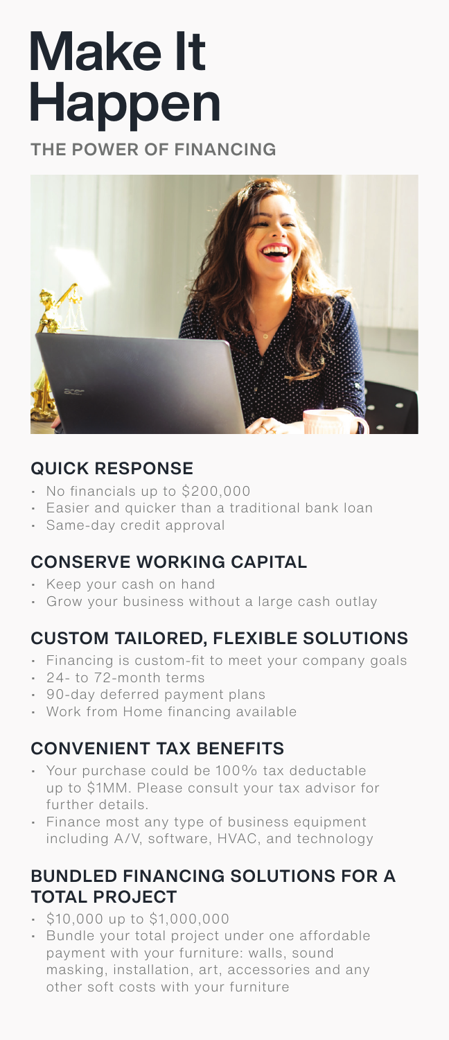# Make It Happen

THE POWER OF FINANCING



## QUICK RESPONSE

- No financials up to \$200,000
- Easier and quicker than a traditional bank loan
- Same-day credit approval

#### CONSERVE WORKING CAPITAL

- Keep your cash on hand
- Grow your business without a large cash outlay

#### CUSTOM TAILORED, FLEXIBLE SOLUTIONS

- Financing is custom-fit to meet your company goals
- 24- to 72-month terms
- 90-day deferred payment plans
- Work from Home financing available

#### CONVENIENT TAX BENEFITS

- Your purchase could be 100% tax deductable up to \$1MM. Please consult your tax advisor for further details.
- Finance most any type of business equipment including A/V, software, HVAC, and technology

#### BUNDLED FINANCING SOLUTIONS FOR A TOTAL PROJECT

- \$10,000 up to \$1,000,000
- Bundle your total project under one affordable payment with your furniture: walls, sound masking, installation, art, accessories and any other soft costs with your furniture